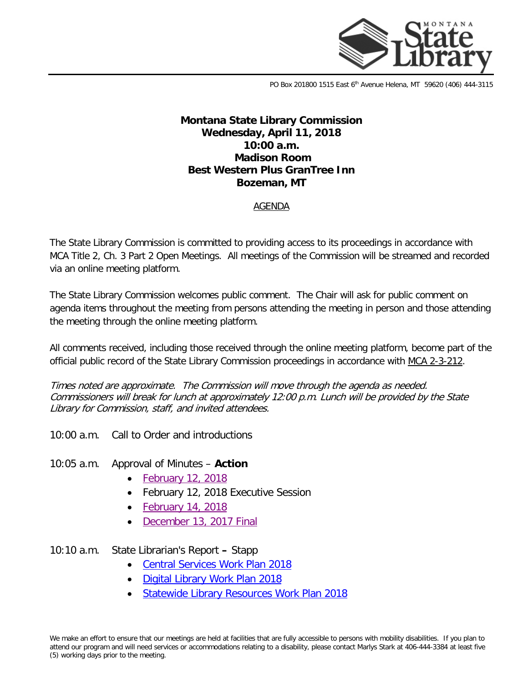

PO Box 201800 1515 East 6<sup>th</sup> Avenue Helena, MT 59620 (406) 444-3115

# **Montana State Library Commission Wednesday, April 11, 2018 10:00 a.m. Madison Room Best Western Plus GranTree Inn Bozeman, MT**

### AGENDA

The State Library Commission is committed to providing access to its proceedings in accordance with MCA Title 2, Ch. 3 Part 2 Open Meetings. All meetings of the Commission will be streamed and recorded via an online meeting platform.

The State Library Commission welcomes public comment. The Chair will ask for public comment on agenda items throughout the meeting from persons attending the meeting in person and those attending the meeting through the online meeting platform.

All comments received, including those received through the online meeting platform, become part of the official public record of the State Library Commission proceedings in accordance with MCA [2-3-212.](http://leg.mt.gov/bills/mca/2/3/2-3-212.htm)

Times noted are approximate. The Commission will move through the agenda as needed. Commissioners will break for lunch at approximately 12:00 p.m. Lunch will be provided by the State Library for Commission, staff, and invited attendees.

10:00 a.m. Call to Order and introductions

#### 10:05 a.m. Approval of Minutes – **Action**

- [February 12, 2018](http://docs.msl.mt.gov/Central_Services/Commission_Councils/Commission/Archive/2018/04/Minutes%20February%2012%2018%20draft.pdf)
- February 12, 2018 Executive Session
- [February 14, 2018](http://docs.msl.mt.gov/Central_Services/Commission_Councils/Commission/Archive/2018/04/Minute%20log%20draft%20February%2014%2018.pdf)
- [December 13, 2017 Final](http://docs.msl.mt.gov/Central_Services/Commission_Councils/Commission/Archive/2018/04/minutes%2012%2013%2017%20%20final.pdf)

## 10:10 a.m. State Librarian's Report **–** Stapp

- [Central Services Work Plan 2018](http://docs.msl.mt.gov/Central_Services/Commission_Councils/Commission/Archive/2018/04/Central%20Services%20Work%20Plan%202018.pdf)
- [Digital Library Work Plan 2018](http://docs.msl.mt.gov/Central_Services/Commission_Councils/Commission/Archive/2018/04/Digital%20Library%20Commission%20Work%20Plan%202018_March2018Report.pdf)
- [Statewide Library Resources Work Plan 2018](http://docs.msl.mt.gov/Central_Services/Commission_Councils/Commission/Archive/2018/04/SLR-LD%20Commission%20Work%20Plan_Aprilupdates.pdf)

We make an effort to ensure that our meetings are held at facilities that are fully accessible to persons with mobility disabilities. If you plan to attend our program and will need services or accommodations relating to a disability, please contact Marlys Stark at 406-444-3384 at least five (5) working days prior to the meeting.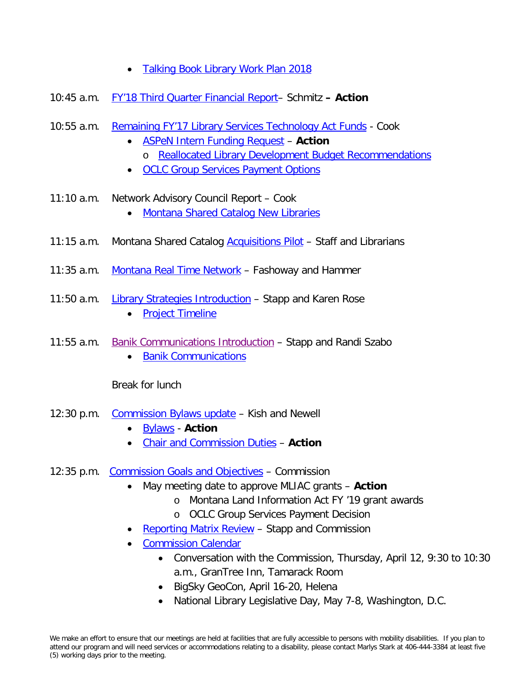- Talking Book Library Work Plan 2018
- 10:45 a.m. [FY'18 Third Quarter Financial Report–](http://docs.msl.mt.gov/Central_Services/Commission_Councils/Commission/Archive/2018/04/FY) Schmitz **– Action**
- 10:55 a.m. [Remaining FY'17 Library Services Technology Act Funds](http://docs.msl.mt.gov/Central_Services/Commission_Councils/Commission/Archive/2018/04/LSTA%20remaining%20funds%20discussion.pdf) Cook
	- [ASPeN Intern Funding Request](http://docs.msl.mt.gov/Central_Services/Commission_Councils/Commission/Archive/2018/04/ASPeN%20Intern%20Request.pdf) **Action** o [Reallocated Library Development Budget Recommendations](http://docs.msl.mt.gov/Central_Services/Commission_Councils/Commission/Archive/2018/04/201803reallocatedLibrary%20Development%20Budget%20Recommendations%20State%20FY18_updated.pdf)
	- [OCLC Group Services Payment Options](http://docs.msl.mt.gov/Central_Services/Commission_Councils/Commission/Archive/2018/04/OCLC%20budget%20scenarios.xlsx)
- 11:10 a.m. Network Advisory Council Report Cook
	- [Montana Shared Catalog New Libraries](http://docs.msl.mt.gov/Central_Services/Commission_Councils/Commission/Archive/2018/04/MSC%20new%20libraries%20memo%202018.pdf)
- 11:15 a.m. Montana Shared Catalog **Acquisitions Pilot** Staff and Librarians
- 11:35 a.m. [Montana Real Time Network](http://docs.msl.mt.gov/Central_Services/Commission_Councils/Commission/Archive/2018/04/Utah%20Real%20Time%20Network%20Proposal.pdf) Fashoway and Hammer
- 11:50 a.m. [Library Strategies Introduction](http://docs.msl.mt.gov/Central_Services/Commission_Councils/Commission/Archive/2018/04/LS%20Introduction%20Memo.pdf) Stapp and Karen Rose • [Project Timeline](http://docs.msl.mt.gov/Central_Services/Commission_Councils/Commission/Archive/2018/04/MT%20Project%20Timeline%20-18%20month.pdf)
- 11:55 a.m. [Banik Communications Introduction](http://docs.msl.mt.gov/Central_Services/Commission_Councils/Commission/Archive/2018/04/Banik%20Introduction%20Memo.pdf) Stapp and Randi Szabo
	- [Banik Communications](http://docs.msl.mt.gov/Central_Services/Commission_Councils/Commission/Archive/2018/04/LIB-RFP-2018-0008R%20Banik.pdf)

Break for lunch

- 12:30 p.m. [Commission Bylaws update](http://docs.msl.mt.gov/Central_Services/Commission_Councils/Commission/Archive/2018/04/Bylaw%20Memo.pdf) Kish and Newell
	- [Bylaws](http://docs.msl.mt.gov/Central_Services/Commission_Councils/Commission/Archive/2018/04/Bylaws%20February%2022%20amendment_Draft.pdf) **Action**
	- [Chair and Commission Duties](http://docs.msl.mt.gov/Central_Services/Commission_Councils/Commission/Archive/2018/04/Duties%20of%20MSL%20Commission%20Board%20Chair%20and%20Commission.pdf) **Action**
- 12:35 p.m. [Commission Goals and Objectives](http://docs.msl.mt.gov/Central_Services/Commission_Councils/Commission/Archive/2018/04/Commission%20Work%20Plan_logicmodel.pdf) Commission
	- May meeting date to approve MLIAC grants **Action**
		- o Montana Land Information Act FY '19 grant awards
		- o OCLC Group Services Payment Decision
	- [Reporting Matrix Review](http://docs.msl.mt.gov/Central_Services/Commission_Councils/Commission/Archive/2018/04/Reporting%20Task%20Force_Scope%20of%20Work_draft.pdf) Stapp and Commission
	- [Commission Calendar](http://docs.msl.mt.gov/Central_Services/Commission_Councils/Commission/Archive/2018/04/Commission%20work%20plan%20calendar_Apr2018.pdf)
		- Conversation with the Commission, Thursday, April 12, 9:30 to 10:30 a.m., GranTree Inn, Tamarack Room
		- BigSky GeoCon, April 16-20, Helena
		- National Library Legislative Day, May 7-8, Washington, D.C.